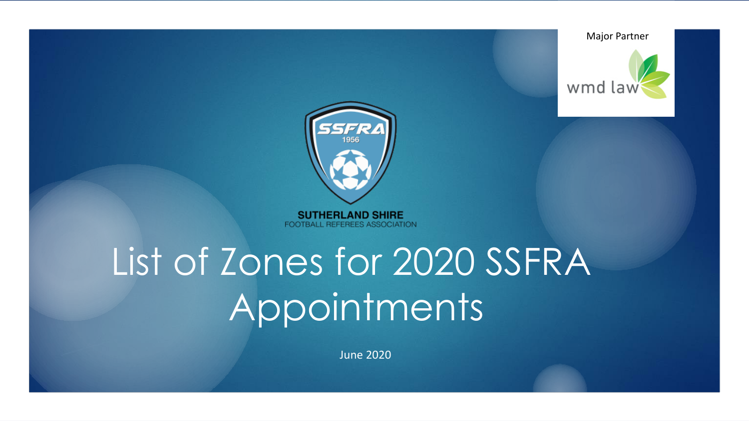



**SUTHERLAND SHIRE** FOOTBALL REFEREES ASSOCIATION

# List of Zones for 2020 SSFRA **Appointments**

June 2020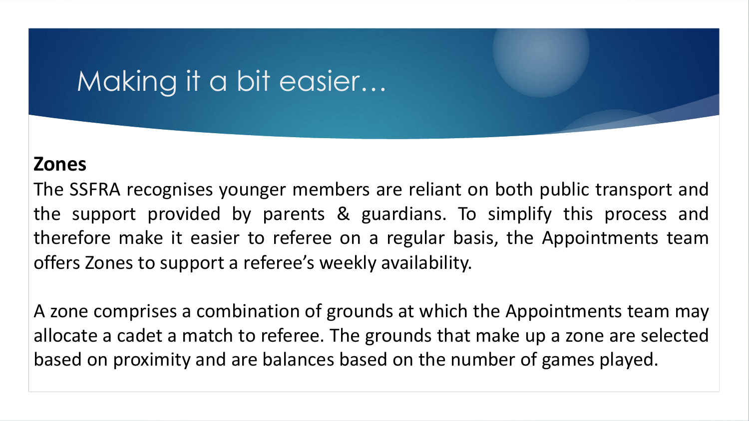#### Making it a bit easier…

#### **Zones**

The SSFRA recognises younger members are reliant on both public transport and the support provided by parents & guardians. To simplify this process and therefore make it easier to referee on a regular basis, the Appointments team offers Zones to support a referee's weekly availability.

A zone comprises a combination of grounds at which the Appointments team may allocate a cadet a match to referee. The grounds that make up a zone are selected based on proximity and are balances based on the number of games played.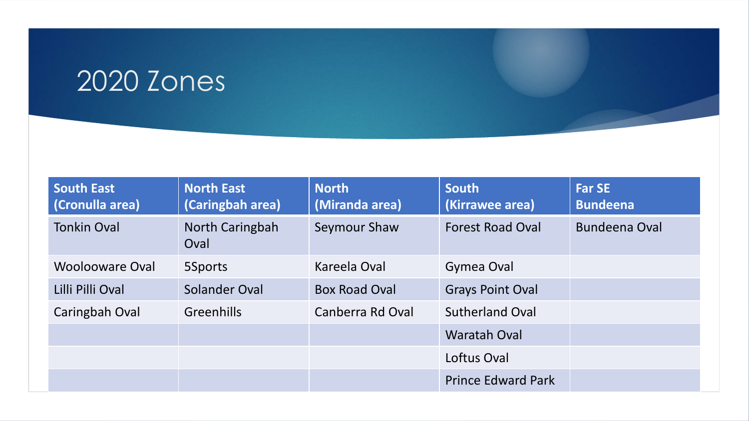#### 2020 Zones

| <b>South East</b><br>(Cronulla area) | <b>North East</b><br>(Caringbah area) | <b>North</b><br>(Miranda area) | <b>South</b><br>(Kirrawee area) | <b>Far SE</b><br><b>Bundeena</b> |
|--------------------------------------|---------------------------------------|--------------------------------|---------------------------------|----------------------------------|
| <b>Tonkin Oval</b>                   | North Caringbah<br>Oval               | Seymour Shaw                   | <b>Forest Road Oval</b>         | <b>Bundeena Oval</b>             |
| Woolooware Oval                      | 5Sports                               | Kareela Oval                   | Gymea Oval                      |                                  |
| Lilli Pilli Oval                     | Solander Oval                         | <b>Box Road Oval</b>           | <b>Grays Point Oval</b>         |                                  |
| Caringbah Oval                       | <b>Greenhills</b>                     | Canberra Rd Oval               | <b>Sutherland Oval</b>          |                                  |
|                                      |                                       |                                | <b>Waratah Oval</b>             |                                  |
|                                      |                                       |                                | Loftus Oval                     |                                  |
|                                      |                                       |                                | <b>Prince Edward Park</b>       |                                  |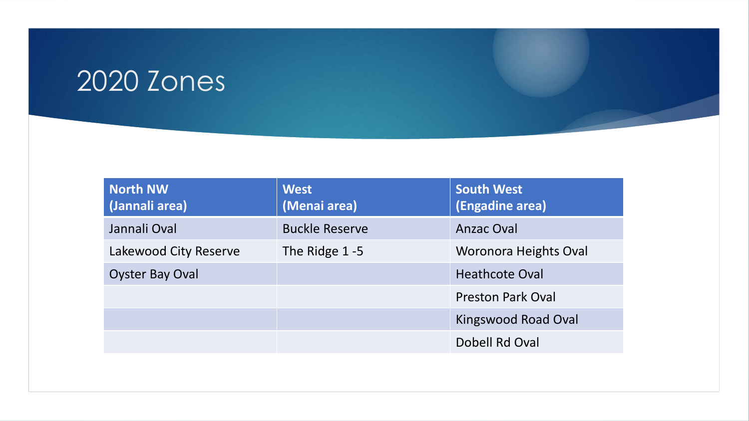#### 2020 Zones

| North NW<br>(Jannali area) | <b>West</b><br>(Menai area) | <b>South West</b><br>(Engadine area) |
|----------------------------|-----------------------------|--------------------------------------|
| Jannali Oval               | <b>Buckle Reserve</b>       | <b>Anzac Oval</b>                    |
| Lakewood City Reserve      | The Ridge 1-5               | <b>Woronora Heights Oval</b>         |
| <b>Oyster Bay Oval</b>     |                             | <b>Heathcote Oval</b>                |
|                            |                             | <b>Preston Park Oval</b>             |
|                            |                             | Kingswood Road Oval                  |
|                            |                             | Dobell Rd Oval                       |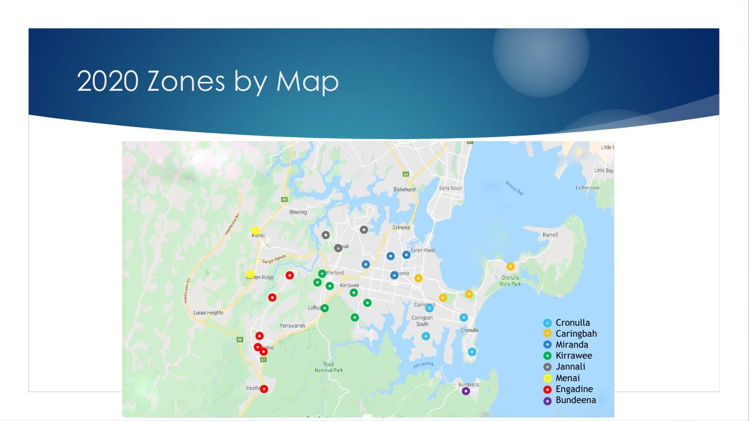### 2020 Zones by Map

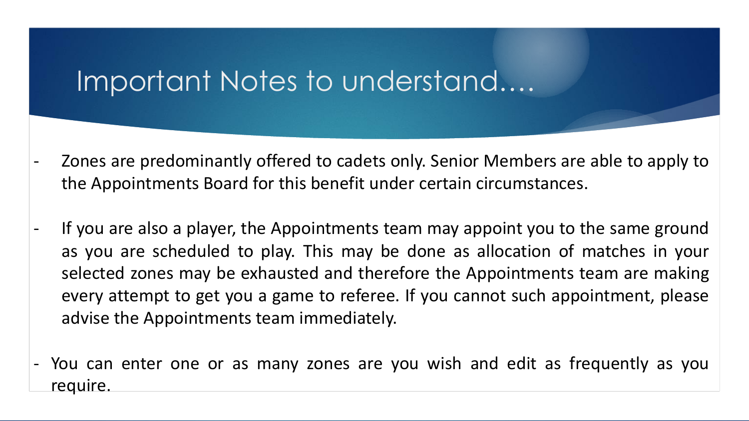#### Important Notes to understand….

- Zones are predominantly offered to cadets only. Senior Members are able to apply to the Appointments Board for this benefit under certain circumstances.
- If you are also a player, the Appointments team may appoint you to the same ground as you are scheduled to play. This may be done as allocation of matches in your selected zones may be exhausted and therefore the Appointments team are making every attempt to get you a game to referee. If you cannot such appointment, please advise the Appointments team immediately.
- You can enter one or as many zones are you wish and edit as frequently as you require.